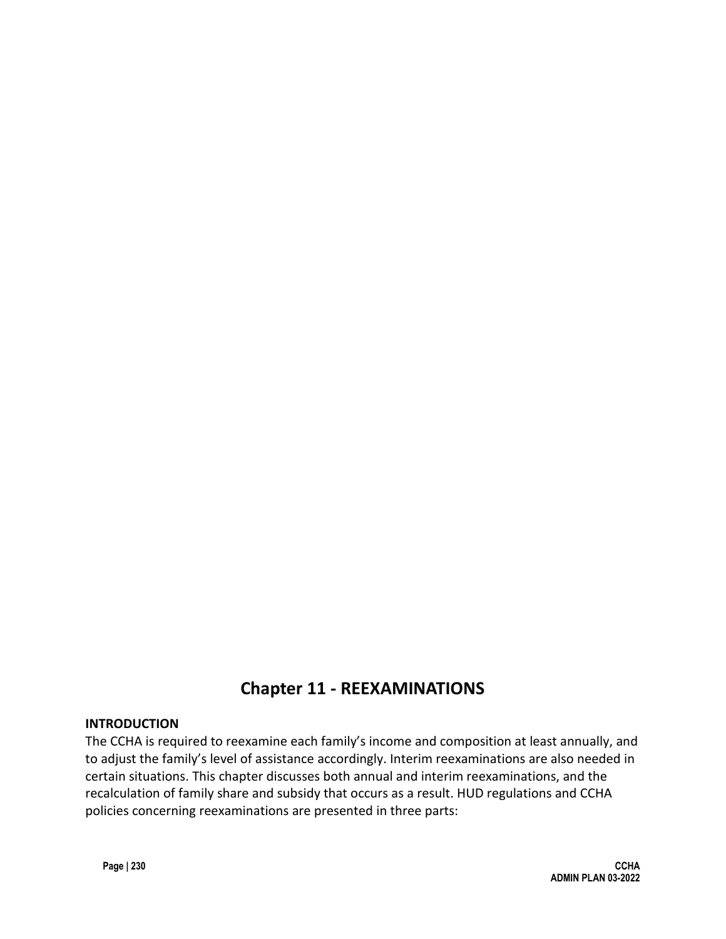# **Chapter 11 - REEXAMINATIONS**

#### **INTRODUCTION**

The CCHA is required to reexamine each family's income and composition at least annually, and to adjust the family's level of assistance accordingly. Interim reexaminations are also needed in certain situations. This chapter discusses both annual and interim reexaminations, and the recalculation of family share and subsidy that occurs as a result. HUD regulations and CCHA policies concerning reexaminations are presented in three parts: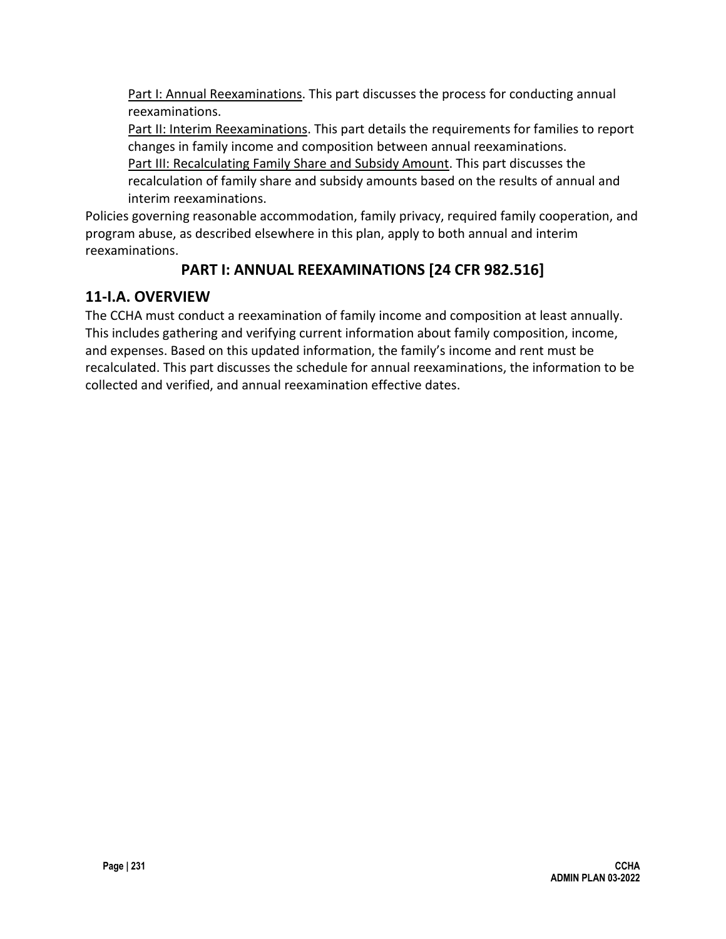Part I: Annual Reexaminations. This part discusses the process for conducting annual reexaminations.

Part II: Interim Reexaminations. This part details the requirements for families to report changes in family income and composition between annual reexaminations.

Part III: Recalculating Family Share and Subsidy Amount. This part discusses the recalculation of family share and subsidy amounts based on the results of annual and interim reexaminations.

Policies governing reasonable accommodation, family privacy, required family cooperation, and program abuse, as described elsewhere in this plan, apply to both annual and interim reexaminations.

# **PART I: ANNUAL REEXAMINATIONS [24 CFR 982.516]**

# **11-I.A. OVERVIEW**

The CCHA must conduct a reexamination of family income and composition at least annually. This includes gathering and verifying current information about family composition, income, and expenses. Based on this updated information, the family's income and rent must be recalculated. This part discusses the schedule for annual reexaminations, the information to be collected and verified, and annual reexamination effective dates.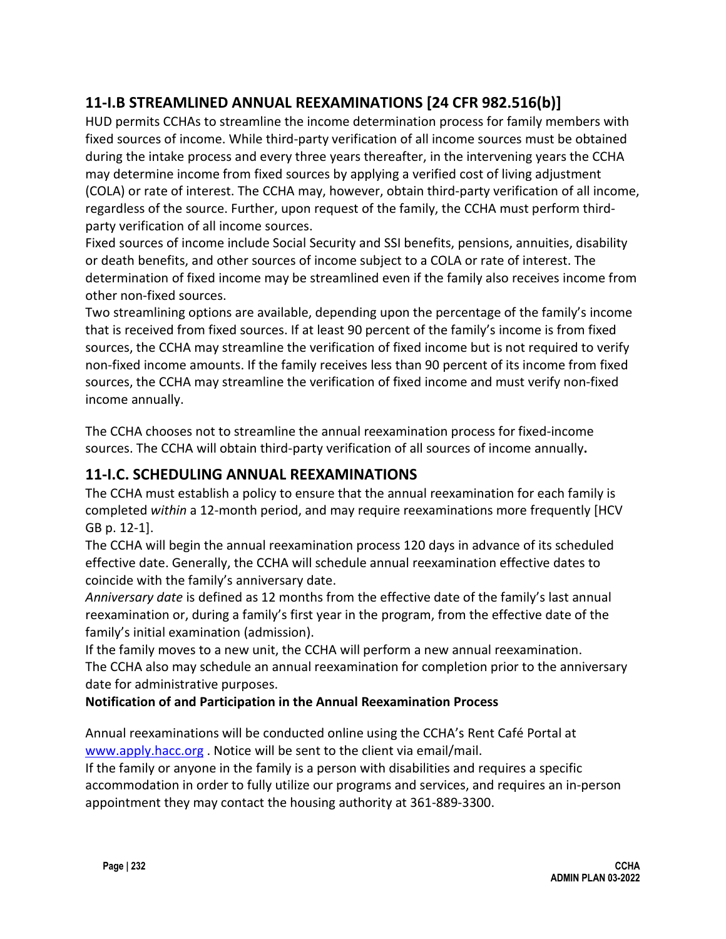# **11-I.B STREAMLINED ANNUAL REEXAMINATIONS [24 CFR 982.516(b)]**

HUD permits CCHAs to streamline the income determination process for family members with fixed sources of income. While third-party verification of all income sources must be obtained during the intake process and every three years thereafter, in the intervening years the CCHA may determine income from fixed sources by applying a verified cost of living adjustment (COLA) or rate of interest. The CCHA may, however, obtain third-party verification of all income, regardless of the source. Further, upon request of the family, the CCHA must perform thirdparty verification of all income sources.

Fixed sources of income include Social Security and SSI benefits, pensions, annuities, disability or death benefits, and other sources of income subject to a COLA or rate of interest. The determination of fixed income may be streamlined even if the family also receives income from other non-fixed sources.

Two streamlining options are available, depending upon the percentage of the family's income that is received from fixed sources. If at least 90 percent of the family's income is from fixed sources, the CCHA may streamline the verification of fixed income but is not required to verify non-fixed income amounts. If the family receives less than 90 percent of its income from fixed sources, the CCHA may streamline the verification of fixed income and must verify non-fixed income annually.

The CCHA chooses not to streamline the annual reexamination process for fixed-income sources. The CCHA will obtain third-party verification of all sources of income annually**.**

## **11-I.C. SCHEDULING ANNUAL REEXAMINATIONS**

The CCHA must establish a policy to ensure that the annual reexamination for each family is completed *within* a 12-month period, and may require reexaminations more frequently [HCV GB p. 12-1].

The CCHA will begin the annual reexamination process 120 days in advance of its scheduled effective date. Generally, the CCHA will schedule annual reexamination effective dates to coincide with the family's anniversary date.

*Anniversary date* is defined as 12 months from the effective date of the family's last annual reexamination or, during a family's first year in the program, from the effective date of the family's initial examination (admission).

If the family moves to a new unit, the CCHA will perform a new annual reexamination. The CCHA also may schedule an annual reexamination for completion prior to the anniversary date for administrative purposes.

#### **Notification of and Participation in the Annual Reexamination Process**

Annual reexaminations will be conducted online using the CCHA's Rent Café Portal at [www.apply.hacc.org](http://www.apply.hacc.org/) . Notice will be sent to the client via email/mail.

If the family or anyone in the family is a person with disabilities and requires a specific accommodation in order to fully utilize our programs and services, and requires an in-person appointment they may contact the housing authority at 361-889-3300.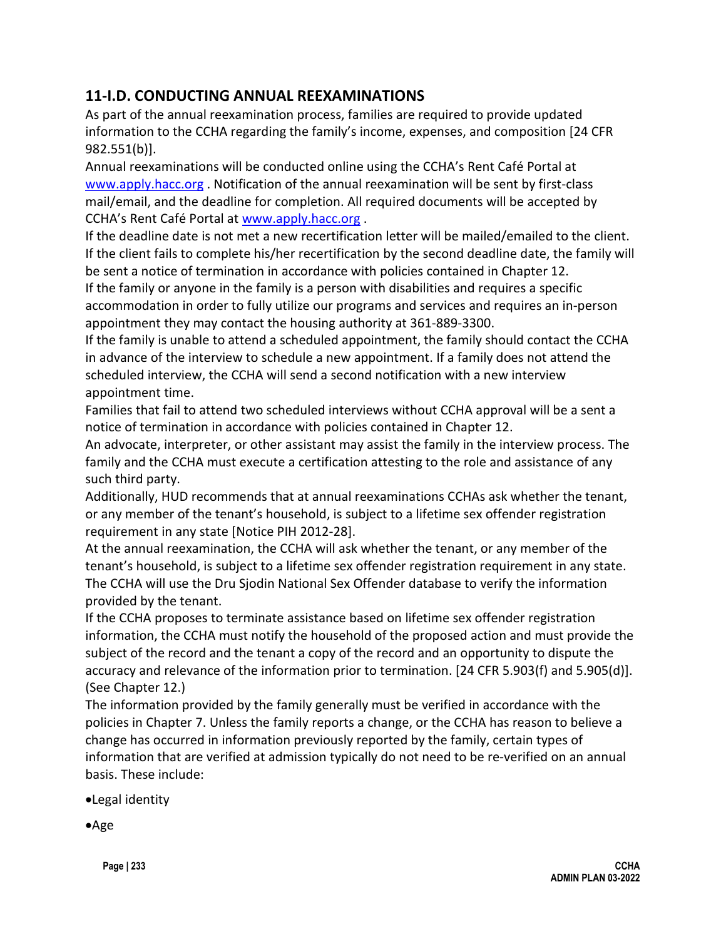## **11-I.D. CONDUCTING ANNUAL REEXAMINATIONS**

As part of the annual reexamination process, families are required to provide updated information to the CCHA regarding the family's income, expenses, and composition [24 CFR 982.551(b)].

Annual reexaminations will be conducted online using the CCHA's Rent Café Portal at [www.apply.hacc.org](http://www.apply.hacc.org/) . Notification of the annual reexamination will be sent by first-class mail/email, and the deadline for completion. All required documents will be accepted by CCHA's Rent Café Portal at [www.apply.hacc.org](http://www.apply.hacc.org/) .

If the deadline date is not met a new recertification letter will be mailed/emailed to the client. If the client fails to complete his/her recertification by the second deadline date, the family will be sent a notice of termination in accordance with policies contained in Chapter 12. If the family or anyone in the family is a person with disabilities and requires a specific accommodation in order to fully utilize our programs and services and requires an in-person appointment they may contact the housing authority at 361-889-3300.

If the family is unable to attend a scheduled appointment, the family should contact the CCHA in advance of the interview to schedule a new appointment. If a family does not attend the scheduled interview, the CCHA will send a second notification with a new interview appointment time.

Families that fail to attend two scheduled interviews without CCHA approval will be a sent a notice of termination in accordance with policies contained in Chapter 12.

An advocate, interpreter, or other assistant may assist the family in the interview process. The family and the CCHA must execute a certification attesting to the role and assistance of any such third party.

Additionally, HUD recommends that at annual reexaminations CCHAs ask whether the tenant, or any member of the tenant's household, is subject to a lifetime sex offender registration requirement in any state [Notice PIH 2012-28].

At the annual reexamination, the CCHA will ask whether the tenant, or any member of the tenant's household, is subject to a lifetime sex offender registration requirement in any state. The CCHA will use the Dru Sjodin National Sex Offender database to verify the information provided by the tenant.

If the CCHA proposes to terminate assistance based on lifetime sex offender registration information, the CCHA must notify the household of the proposed action and must provide the subject of the record and the tenant a copy of the record and an opportunity to dispute the accuracy and relevance of the information prior to termination. [24 CFR 5.903(f) and 5.905(d)]. (See Chapter 12.)

The information provided by the family generally must be verified in accordance with the policies in Chapter 7. Unless the family reports a change, or the CCHA has reason to believe a change has occurred in information previously reported by the family, certain types of information that are verified at admission typically do not need to be re-verified on an annual basis. These include:

•Legal identity

•Age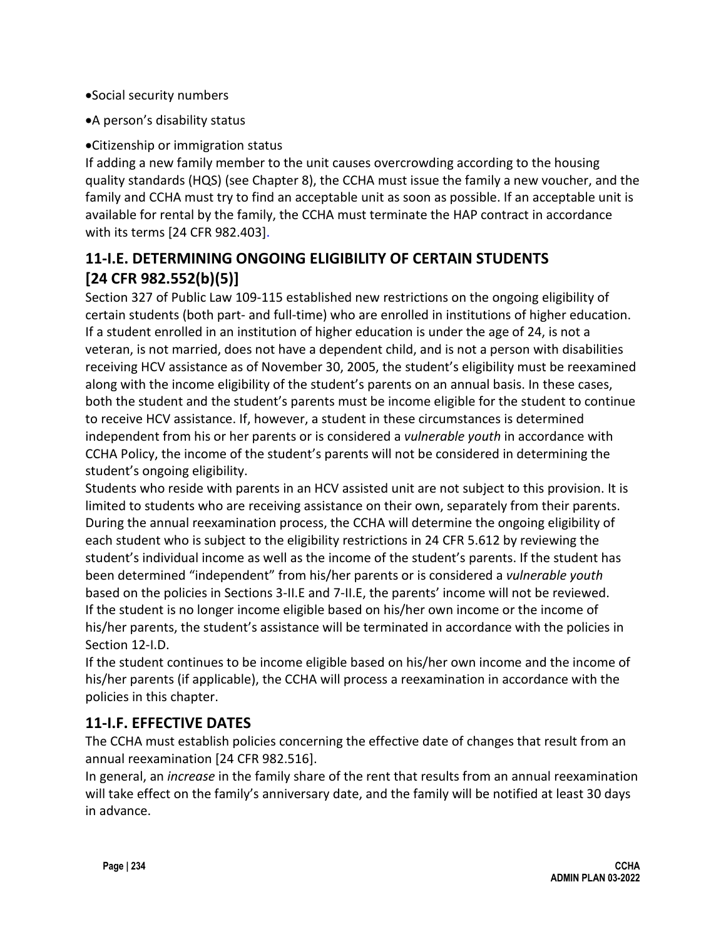- •Social security numbers
- •A person's disability status

#### •Citizenship or immigration status

If adding a new family member to the unit causes overcrowding according to the housing quality standards (HQS) (see Chapter 8), the CCHA must issue the family a new voucher, and the family and CCHA must try to find an acceptable unit as soon as possible. If an acceptable unit is available for rental by the family, the CCHA must terminate the HAP contract in accordance with its terms [24 CFR 982.403].

## **11-I.E. DETERMINING ONGOING ELIGIBILITY OF CERTAIN STUDENTS [24 CFR 982.552(b)(5)]**

Section 327 of Public Law 109-115 established new restrictions on the ongoing eligibility of certain students (both part- and full-time) who are enrolled in institutions of higher education. If a student enrolled in an institution of higher education is under the age of 24, is not a veteran, is not married, does not have a dependent child, and is not a person with disabilities receiving HCV assistance as of November 30, 2005, the student's eligibility must be reexamined along with the income eligibility of the student's parents on an annual basis. In these cases, both the student and the student's parents must be income eligible for the student to continue to receive HCV assistance. If, however, a student in these circumstances is determined independent from his or her parents or is considered a *vulnerable youth* in accordance with CCHA Policy, the income of the student's parents will not be considered in determining the student's ongoing eligibility.

Students who reside with parents in an HCV assisted unit are not subject to this provision. It is limited to students who are receiving assistance on their own, separately from their parents. During the annual reexamination process, the CCHA will determine the ongoing eligibility of each student who is subject to the eligibility restrictions in 24 CFR 5.612 by reviewing the student's individual income as well as the income of the student's parents. If the student has been determined "independent" from his/her parents or is considered a *vulnerable youth*  based on the policies in Sections 3-II.E and 7-II.E, the parents' income will not be reviewed. If the student is no longer income eligible based on his/her own income or the income of his/her parents, the student's assistance will be terminated in accordance with the policies in Section 12-I.D.

If the student continues to be income eligible based on his/her own income and the income of his/her parents (if applicable), the CCHA will process a reexamination in accordance with the policies in this chapter.

## **11-I.F. EFFECTIVE DATES**

The CCHA must establish policies concerning the effective date of changes that result from an annual reexamination [24 CFR 982.516].

In general, an *increase* in the family share of the rent that results from an annual reexamination will take effect on the family's anniversary date, and the family will be notified at least 30 days in advance.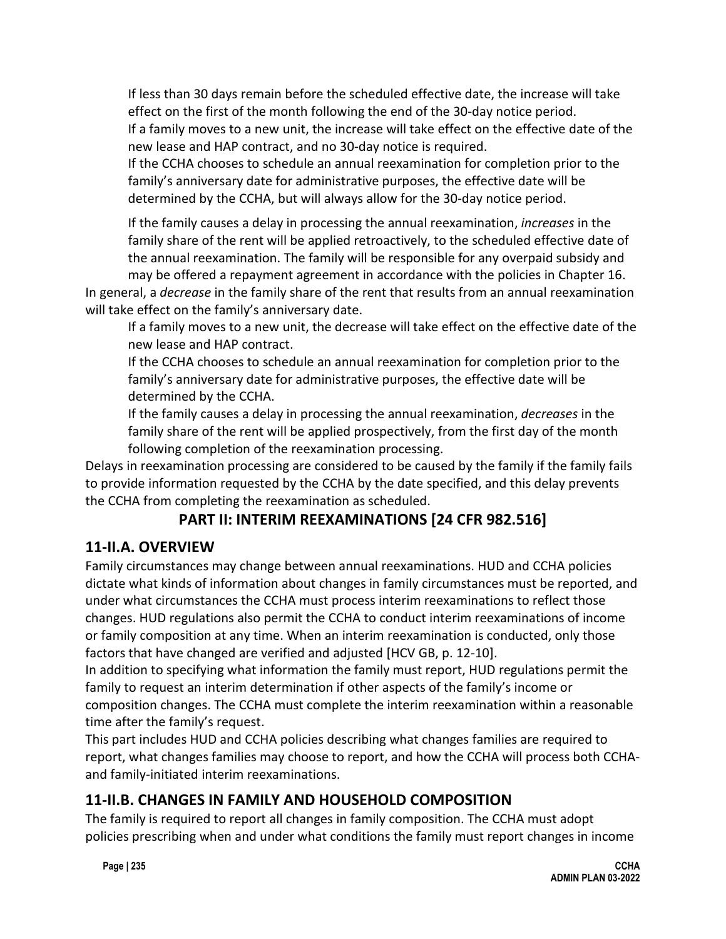If less than 30 days remain before the scheduled effective date, the increase will take effect on the first of the month following the end of the 30-day notice period. If a family moves to a new unit, the increase will take effect on the effective date of the new lease and HAP contract, and no 30-day notice is required.

If the CCHA chooses to schedule an annual reexamination for completion prior to the family's anniversary date for administrative purposes, the effective date will be determined by the CCHA, but will always allow for the 30-day notice period.

If the family causes a delay in processing the annual reexamination, *increases* in the family share of the rent will be applied retroactively, to the scheduled effective date of the annual reexamination. The family will be responsible for any overpaid subsidy and

may be offered a repayment agreement in accordance with the policies in Chapter 16. In general, a *decrease* in the family share of the rent that results from an annual reexamination will take effect on the family's anniversary date.

If a family moves to a new unit, the decrease will take effect on the effective date of the new lease and HAP contract.

If the CCHA chooses to schedule an annual reexamination for completion prior to the family's anniversary date for administrative purposes, the effective date will be determined by the CCHA.

If the family causes a delay in processing the annual reexamination, *decreases* in the family share of the rent will be applied prospectively, from the first day of the month following completion of the reexamination processing.

Delays in reexamination processing are considered to be caused by the family if the family fails to provide information requested by the CCHA by the date specified, and this delay prevents the CCHA from completing the reexamination as scheduled.

# **PART II: INTERIM REEXAMINATIONS [24 CFR 982.516]**

# **11-II.A. OVERVIEW**

Family circumstances may change between annual reexaminations. HUD and CCHA policies dictate what kinds of information about changes in family circumstances must be reported, and under what circumstances the CCHA must process interim reexaminations to reflect those changes. HUD regulations also permit the CCHA to conduct interim reexaminations of income or family composition at any time. When an interim reexamination is conducted, only those factors that have changed are verified and adjusted [HCV GB, p. 12-10].

In addition to specifying what information the family must report, HUD regulations permit the family to request an interim determination if other aspects of the family's income or composition changes. The CCHA must complete the interim reexamination within a reasonable time after the family's request.

This part includes HUD and CCHA policies describing what changes families are required to report, what changes families may choose to report, and how the CCHA will process both CCHAand family-initiated interim reexaminations.

# **11-II.B. CHANGES IN FAMILY AND HOUSEHOLD COMPOSITION**

The family is required to report all changes in family composition. The CCHA must adopt policies prescribing when and under what conditions the family must report changes in income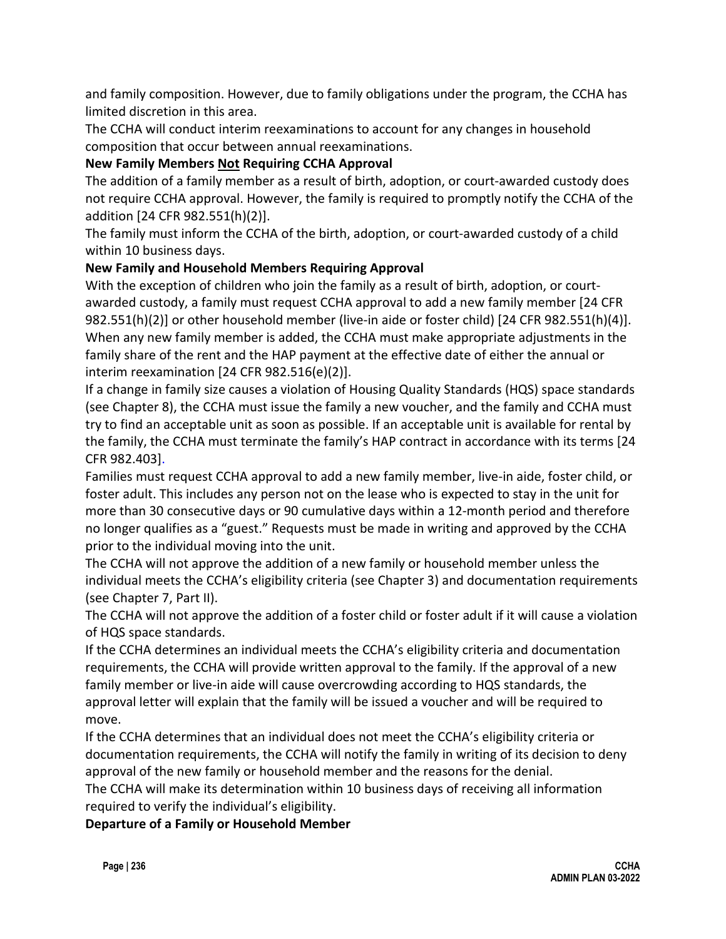and family composition. However, due to family obligations under the program, the CCHA has limited discretion in this area.

The CCHA will conduct interim reexaminations to account for any changes in household composition that occur between annual reexaminations.

#### **New Family Members Not Requiring CCHA Approval**

The addition of a family member as a result of birth, adoption, or court-awarded custody does not require CCHA approval. However, the family is required to promptly notify the CCHA of the addition [24 CFR 982.551(h)(2)].

The family must inform the CCHA of the birth, adoption, or court-awarded custody of a child within 10 business days.

#### **New Family and Household Members Requiring Approval**

With the exception of children who join the family as a result of birth, adoption, or courtawarded custody, a family must request CCHA approval to add a new family member [24 CFR 982.551(h)(2)] or other household member (live-in aide or foster child) [24 CFR 982.551(h)(4)]. When any new family member is added, the CCHA must make appropriate adjustments in the family share of the rent and the HAP payment at the effective date of either the annual or interim reexamination [24 CFR 982.516(e)(2)].

If a change in family size causes a violation of Housing Quality Standards (HQS) space standards (see Chapter 8), the CCHA must issue the family a new voucher, and the family and CCHA must try to find an acceptable unit as soon as possible. If an acceptable unit is available for rental by the family, the CCHA must terminate the family's HAP contract in accordance with its terms [24 CFR 982.403].

Families must request CCHA approval to add a new family member, live-in aide, foster child, or foster adult. This includes any person not on the lease who is expected to stay in the unit for more than 30 consecutive days or 90 cumulative days within a 12-month period and therefore no longer qualifies as a "guest." Requests must be made in writing and approved by the CCHA prior to the individual moving into the unit.

The CCHA will not approve the addition of a new family or household member unless the individual meets the CCHA's eligibility criteria (see Chapter 3) and documentation requirements (see Chapter 7, Part II).

The CCHA will not approve the addition of a foster child or foster adult if it will cause a violation of HQS space standards.

If the CCHA determines an individual meets the CCHA's eligibility criteria and documentation requirements, the CCHA will provide written approval to the family. If the approval of a new family member or live-in aide will cause overcrowding according to HQS standards, the approval letter will explain that the family will be issued a voucher and will be required to move.

If the CCHA determines that an individual does not meet the CCHA's eligibility criteria or documentation requirements, the CCHA will notify the family in writing of its decision to deny approval of the new family or household member and the reasons for the denial.

The CCHA will make its determination within 10 business days of receiving all information required to verify the individual's eligibility.

**Departure of a Family or Household Member**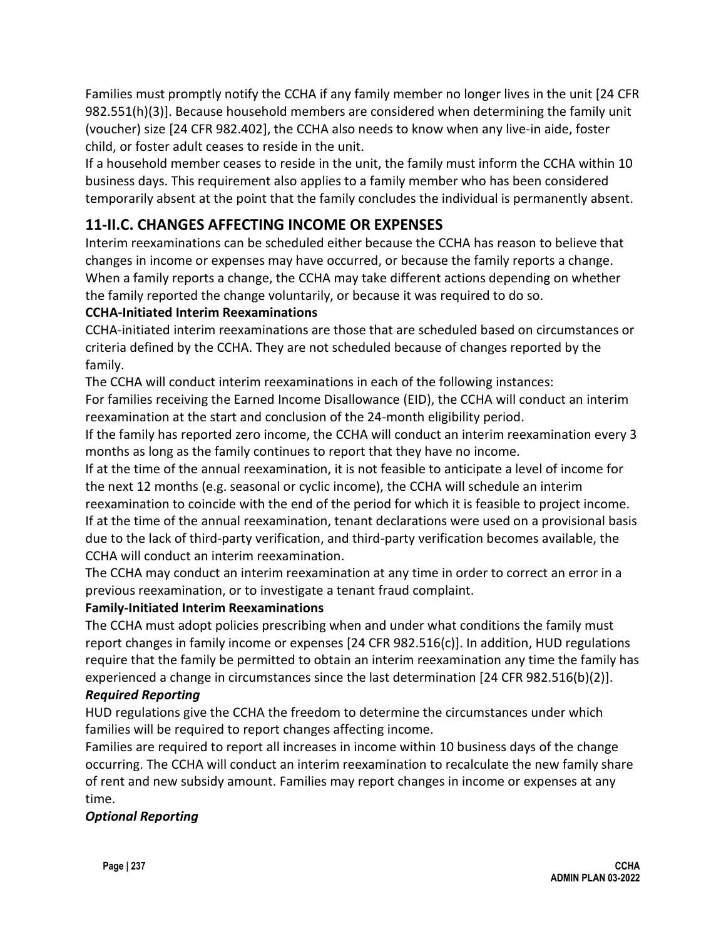Families must promptly notify the CCHA if any family member no longer lives in the unit [24 CFR 982.551(h)(3)]. Because household members are considered when determining the family unit (voucher) size [24 CFR 982.402], the CCHA also needs to know when any live-in aide, foster child, or foster adult ceases to reside in the unit.

If a household member ceases to reside in the unit, the family must inform the CCHA within 10 business days. This requirement also applies to a family member who has been considered temporarily absent at the point that the family concludes the individual is permanently absent.

# **11-II.C. CHANGES AFFECTING INCOME OR EXPENSES**

Interim reexaminations can be scheduled either because the CCHA has reason to believe that changes in income or expenses may have occurred, or because the family reports a change. When a family reports a change, the CCHA may take different actions depending on whether the family reported the change voluntarily, or because it was required to do so.

#### **CCHA-Initiated Interim Reexaminations**

CCHA-initiated interim reexaminations are those that are scheduled based on circumstances or criteria defined by the CCHA. They are not scheduled because of changes reported by the family.

The CCHA will conduct interim reexaminations in each of the following instances:

For families receiving the Earned Income Disallowance (EID), the CCHA will conduct an interim reexamination at the start and conclusion of the 24-month eligibility period.

If the family has reported zero income, the CCHA will conduct an interim reexamination every 3 months as long as the family continues to report that they have no income.

If at the time of the annual reexamination, it is not feasible to anticipate a level of income for the next 12 months (e.g. seasonal or cyclic income), the CCHA will schedule an interim

reexamination to coincide with the end of the period for which it is feasible to project income. If at the time of the annual reexamination, tenant declarations were used on a provisional basis due to the lack of third-party verification, and third-party verification becomes available, the CCHA will conduct an interim reexamination.

The CCHA may conduct an interim reexamination at any time in order to correct an error in a previous reexamination, or to investigate a tenant fraud complaint.

#### **Family-Initiated Interim Reexaminations**

The CCHA must adopt policies prescribing when and under what conditions the family must report changes in family income or expenses [24 CFR 982.516(c)]. In addition, HUD regulations require that the family be permitted to obtain an interim reexamination any time the family has experienced a change in circumstances since the last determination [24 CFR 982.516(b)(2)].

#### *Required Reporting*

HUD regulations give the CCHA the freedom to determine the circumstances under which families will be required to report changes affecting income.

Families are required to report all increases in income within 10 business days of the change occurring. The CCHA will conduct an interim reexamination to recalculate the new family share of rent and new subsidy amount. Families may report changes in income or expenses at any time.

#### *Optional Reporting*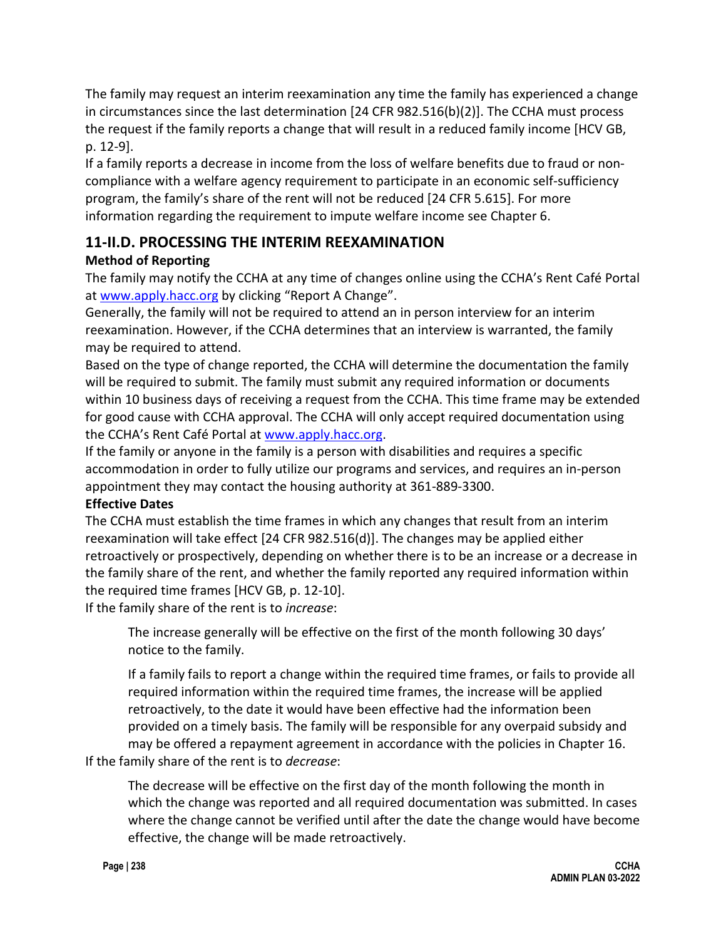The family may request an interim reexamination any time the family has experienced a change in circumstances since the last determination [24 CFR 982.516(b)(2)]. The CCHA must process the request if the family reports a change that will result in a reduced family income [HCV GB, p. 12-9].

If a family reports a decrease in income from the loss of welfare benefits due to fraud or noncompliance with a welfare agency requirement to participate in an economic self-sufficiency program, the family's share of the rent will not be reduced [24 CFR 5.615]. For more information regarding the requirement to impute welfare income see Chapter 6.

## **11-II.D. PROCESSING THE INTERIM REEXAMINATION**

### **Method of Reporting**

The family may notify the CCHA at any time of changes online using the CCHA's Rent Café Portal at [www.apply.hacc.org](http://www.apply.hacc.org/) by clicking "Report A Change".

Generally, the family will not be required to attend an in person interview for an interim reexamination. However, if the CCHA determines that an interview is warranted, the family may be required to attend.

Based on the type of change reported, the CCHA will determine the documentation the family will be required to submit. The family must submit any required information or documents within 10 business days of receiving a request from the CCHA. This time frame may be extended for good cause with CCHA approval. The CCHA will only accept required documentation using the CCHA's Rent Café Portal at [www.apply.hacc.org.](http://www.apply.hacc.org/)

If the family or anyone in the family is a person with disabilities and requires a specific accommodation in order to fully utilize our programs and services, and requires an in-person appointment they may contact the housing authority at 361-889-3300.

#### **Effective Dates**

The CCHA must establish the time frames in which any changes that result from an interim reexamination will take effect [24 CFR 982.516(d)]. The changes may be applied either retroactively or prospectively, depending on whether there is to be an increase or a decrease in the family share of the rent, and whether the family reported any required information within the required time frames [HCV GB, p. 12-10].

If the family share of the rent is to *increase*:

The increase generally will be effective on the first of the month following 30 days' notice to the family.

If a family fails to report a change within the required time frames, or fails to provide all required information within the required time frames, the increase will be applied retroactively, to the date it would have been effective had the information been provided on a timely basis. The family will be responsible for any overpaid subsidy and may be offered a repayment agreement in accordance with the policies in Chapter 16.

If the family share of the rent is to *decrease*:

The decrease will be effective on the first day of the month following the month in which the change was reported and all required documentation was submitted. In cases where the change cannot be verified until after the date the change would have become effective, the change will be made retroactively.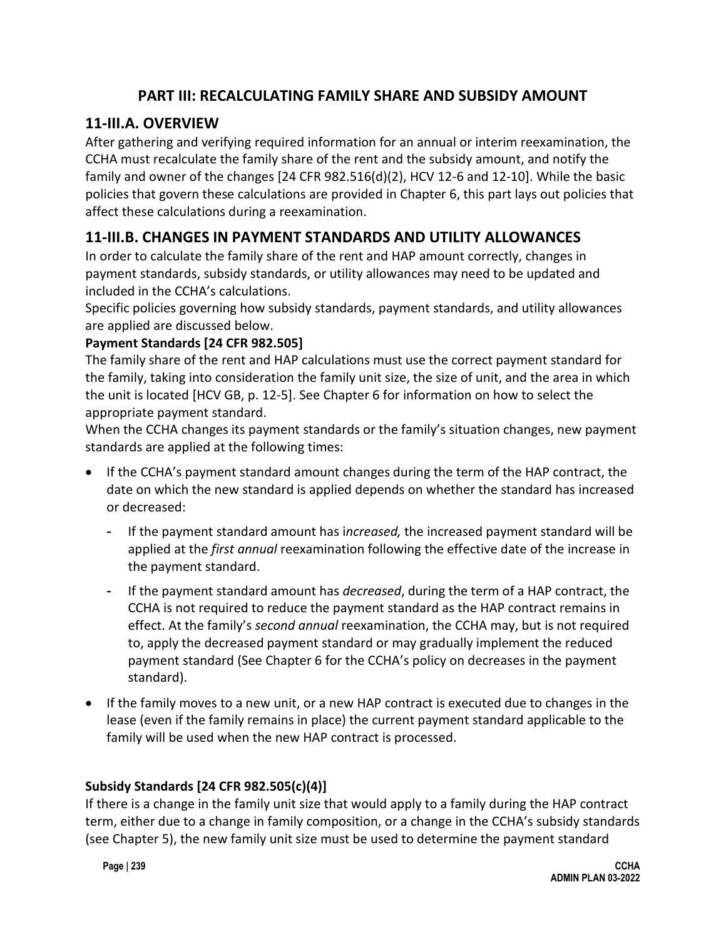## **PART III: RECALCULATING FAMILY SHARE AND SUBSIDY AMOUNT**

# **11-III.A. OVERVIEW**

After gathering and verifying required information for an annual or interim reexamination, the CCHA must recalculate the family share of the rent and the subsidy amount, and notify the family and owner of the changes [24 CFR 982.516(d)(2), HCV 12-6 and 12-10]. While the basic policies that govern these calculations are provided in Chapter 6, this part lays out policies that affect these calculations during a reexamination.

## **11-III.B. CHANGES IN PAYMENT STANDARDS AND UTILITY ALLOWANCES**

In order to calculate the family share of the rent and HAP amount correctly, changes in payment standards, subsidy standards, or utility allowances may need to be updated and included in the CCHA's calculations.

Specific policies governing how subsidy standards, payment standards, and utility allowances are applied are discussed below.

#### **Payment Standards [24 CFR 982.505]**

The family share of the rent and HAP calculations must use the correct payment standard for the family, taking into consideration the family unit size, the size of unit, and the area in which the unit is located [HCV GB, p. 12-5]. See Chapter 6 for information on how to select the appropriate payment standard.

When the CCHA changes its payment standards or the family's situation changes, new payment standards are applied at the following times:

- If the CCHA's payment standard amount changes during the term of the HAP contract, the date on which the new standard is applied depends on whether the standard has increased or decreased:
	- If the payment standard amount has i*ncreased,* the increased payment standard will be applied at the *first annual* reexamination following the effective date of the increase in the payment standard.
	- If the payment standard amount has *decreased*, during the term of a HAP contract, the CCHA is not required to reduce the payment standard as the HAP contract remains in effect. At the family's *second annual* reexamination, the CCHA may, but is not required to, apply the decreased payment standard or may gradually implement the reduced payment standard (See Chapter 6 for the CCHA's policy on decreases in the payment standard).
- If the family moves to a new unit, or a new HAP contract is executed due to changes in the lease (even if the family remains in place) the current payment standard applicable to the family will be used when the new HAP contract is processed.

#### **Subsidy Standards [24 CFR 982.505(c)(4)]**

If there is a change in the family unit size that would apply to a family during the HAP contract term, either due to a change in family composition, or a change in the CCHA's subsidy standards (see Chapter 5), the new family unit size must be used to determine the payment standard